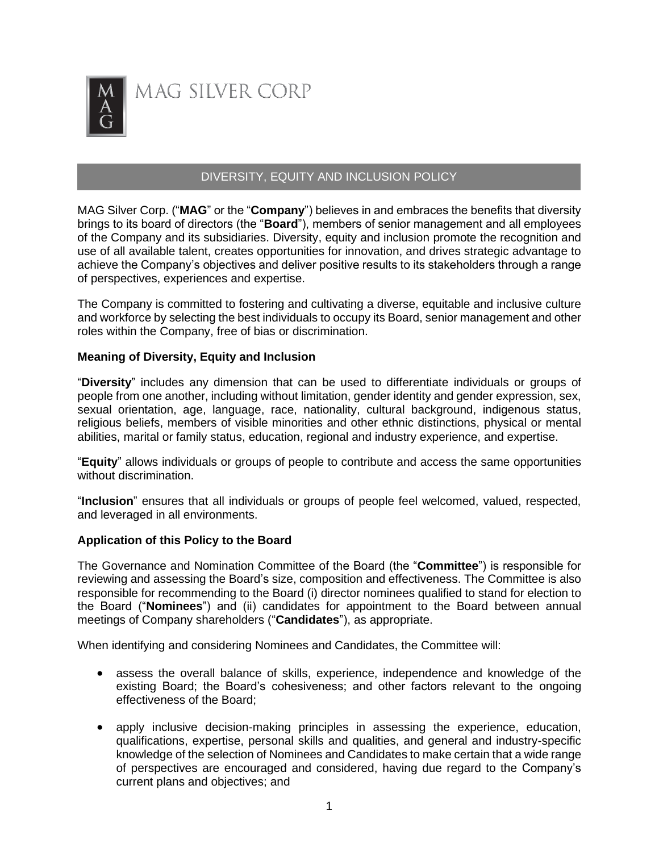

# DIVERSITY, EQUITY AND INCLUSION POLICY

MAG Silver Corp. ("**MAG**" or the "**Company**") believes in and embraces the benefits that diversity brings to its board of directors (the "**Board**"), members of senior management and all employees of the Company and its subsidiaries. Diversity, equity and inclusion promote the recognition and use of all available talent, creates opportunities for innovation, and drives strategic advantage to achieve the Company's objectives and deliver positive results to its stakeholders through a range of perspectives, experiences and expertise.

The Company is committed to fostering and cultivating a diverse, equitable and inclusive culture and workforce by selecting the best individuals to occupy its Board, senior management and other roles within the Company, free of bias or discrimination.

## **Meaning of Diversity, Equity and Inclusion**

"**Diversity**" includes any dimension that can be used to differentiate individuals or groups of people from one another, including without limitation, gender identity and gender expression, sex, sexual orientation, age, language, race, nationality, cultural background, indigenous status, religious beliefs, members of visible minorities and other ethnic distinctions, physical or mental abilities, marital or family status, education, regional and industry experience, and expertise.

"**Equity**" allows individuals or groups of people to contribute and access the same opportunities without discrimination.

"**Inclusion**" ensures that all individuals or groups of people feel welcomed, valued, respected, and leveraged in all environments.

#### **Application of this Policy to the Board**

The Governance and Nomination Committee of the Board (the "**Committee**") is responsible for reviewing and assessing the Board's size, composition and effectiveness. The Committee is also responsible for recommending to the Board (i) director nominees qualified to stand for election to the Board ("**Nominees**") and (ii) candidates for appointment to the Board between annual meetings of Company shareholders ("**Candidates**"), as appropriate.

When identifying and considering Nominees and Candidates, the Committee will:

- assess the overall balance of skills, experience, independence and knowledge of the existing Board; the Board's cohesiveness; and other factors relevant to the ongoing effectiveness of the Board;
- apply inclusive decision-making principles in assessing the experience, education, qualifications, expertise, personal skills and qualities, and general and industry-specific knowledge of the selection of Nominees and Candidates to make certain that a wide range of perspectives are encouraged and considered, having due regard to the Company's current plans and objectives; and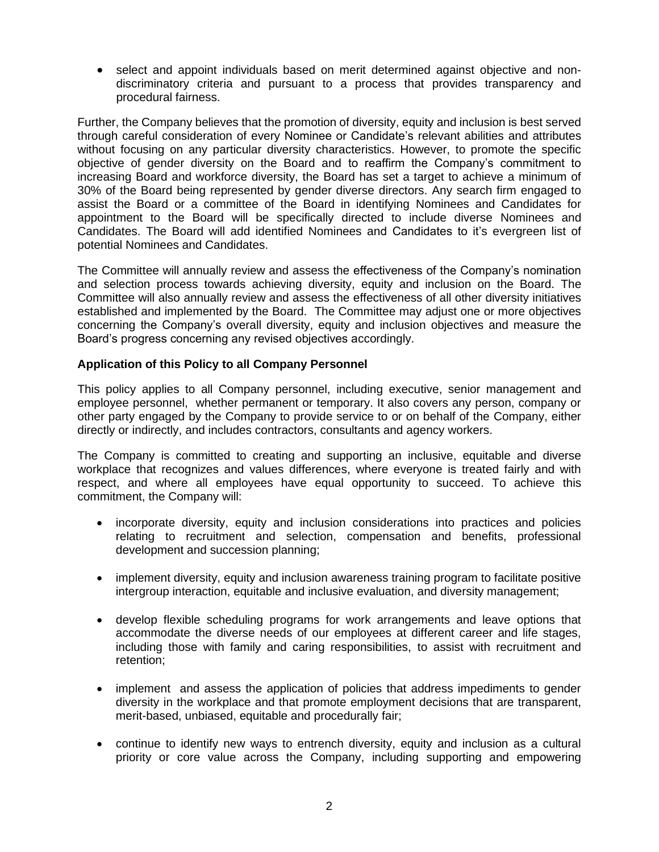• select and appoint individuals based on merit determined against objective and nondiscriminatory criteria and pursuant to a process that provides transparency and procedural fairness.

Further, the Company believes that the promotion of diversity, equity and inclusion is best served through careful consideration of every Nominee or Candidate's relevant abilities and attributes without focusing on any particular diversity characteristics. However, to promote the specific objective of gender diversity on the Board and to reaffirm the Company's commitment to increasing Board and workforce diversity, the Board has set a target to achieve a minimum of 30% of the Board being represented by gender diverse directors. Any search firm engaged to assist the Board or a committee of the Board in identifying Nominees and Candidates for appointment to the Board will be specifically directed to include diverse Nominees and Candidates. The Board will add identified Nominees and Candidates to it's evergreen list of potential Nominees and Candidates.

The Committee will annually review and assess the effectiveness of the Company's nomination and selection process towards achieving diversity, equity and inclusion on the Board. The Committee will also annually review and assess the effectiveness of all other diversity initiatives established and implemented by the Board. The Committee may adjust one or more objectives concerning the Company's overall diversity, equity and inclusion objectives and measure the Board's progress concerning any revised objectives accordingly.

# **Application of this Policy to all Company Personnel**

This policy applies to all Company personnel, including executive, senior management and employee personnel, whether permanent or temporary. It also covers any person, company or other party engaged by the Company to provide service to or on behalf of the Company, either directly or indirectly, and includes contractors, consultants and agency workers.

The Company is committed to creating and supporting an inclusive, equitable and diverse workplace that recognizes and values differences, where everyone is treated fairly and with respect, and where all employees have equal opportunity to succeed. To achieve this commitment, the Company will:

- incorporate diversity, equity and inclusion considerations into practices and policies relating to recruitment and selection, compensation and benefits, professional development and succession planning;
- implement diversity, equity and inclusion awareness training program to facilitate positive intergroup interaction, equitable and inclusive evaluation, and diversity management;
- develop flexible scheduling programs for work arrangements and leave options that accommodate the diverse needs of our employees at different career and life stages, including those with family and caring responsibilities, to assist with recruitment and retention;
- implement and assess the application of policies that address impediments to gender diversity in the workplace and that promote employment decisions that are transparent, merit-based, unbiased, equitable and procedurally fair;
- continue to identify new ways to entrench diversity, equity and inclusion as a cultural priority or core value across the Company, including supporting and empowering